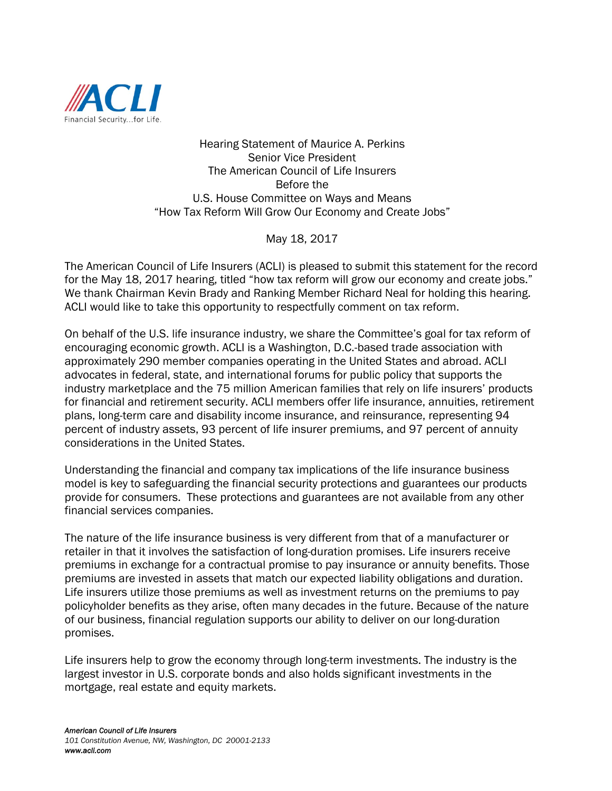

Hearing Statement of Maurice A. Perkins Senior Vice President The American Council of Life Insurers Before the U.S. House Committee on Ways and Means "How Tax Reform Will Grow Our Economy and Create Jobs"

May 18, 2017

The American Council of Life Insurers (ACLI) is pleased to submit this statement for the record for the May 18, 2017 hearing, titled "how tax reform will grow our economy and create jobs." We thank Chairman Kevin Brady and Ranking Member Richard Neal for holding this hearing. ACLI would like to take this opportunity to respectfully comment on tax reform.

On behalf of the U.S. life insurance industry, we share the Committee's goal for tax reform of encouraging economic growth. ACLI is a Washington, D.C.-based trade association with approximately 290 member companies operating in the United States and abroad. ACLI advocates in federal, state, and international forums for public policy that supports the industry marketplace and the 75 million American families that rely on life insurers' products for financial and retirement security. ACLI members offer life insurance, annuities, retirement plans, long-term care and disability income insurance, and reinsurance, representing 94 percent of industry assets, 93 percent of life insurer premiums, and 97 percent of annuity considerations in the United States.

Understanding the financial and company tax implications of the life insurance business model is key to safeguarding the financial security protections and guarantees our products provide for consumers. These protections and guarantees are not available from any other financial services companies.

The nature of the life insurance business is very different from that of a manufacturer or retailer in that it involves the satisfaction of long-duration promises. Life insurers receive premiums in exchange for a contractual promise to pay insurance or annuity benefits. Those premiums are invested in assets that match our expected liability obligations and duration. Life insurers utilize those premiums as well as investment returns on the premiums to pay policyholder benefits as they arise, often many decades in the future. Because of the nature of our business, financial regulation supports our ability to deliver on our long-duration promises.

Life insurers help to grow the economy through long-term investments. The industry is the largest investor in U.S. corporate bonds and also holds significant investments in the mortgage, real estate and equity markets.